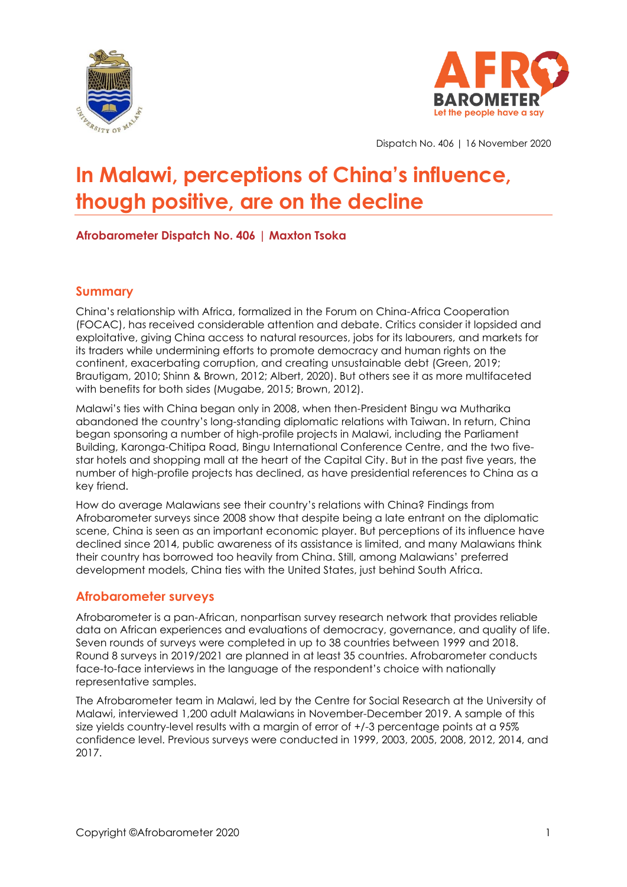



Dispatch No. 406 | 16 November 2020

# **In Malawi, perceptions of China's influence, though positive, are on the decline**

## **Afrobarometer Dispatch No. 406 | Maxton Tsoka**

## **Summary**

China's relationship with Africa, formalized in the Forum on China-Africa Cooperation (FOCAC), has received considerable attention and debate. Critics consider it lopsided and exploitative, giving China access to natural resources, jobs for its labourers, and markets for its traders while undermining efforts to promote democracy and human rights on the continent, exacerbating corruption, and creating unsustainable debt (Green, 2019; Brautigam, 2010; Shinn & Brown, 2012; Albert, 2020). But others see it as more multifaceted with benefits for both sides (Mugabe, 2015; Brown, 2012).

Malawi's ties with China began only in 2008, when then-President Bingu wa Mutharika abandoned the country's long-standing diplomatic relations with Taiwan. In return, China began sponsoring a number of high-profile projects in Malawi, including the Parliament Building, Karonga-Chitipa Road, Bingu International Conference Centre, and the two fivestar hotels and shopping mall at the heart of the Capital City. But in the past five years, the number of high-profile projects has declined, as have presidential references to China as a key friend.

How do average Malawians see their country's relations with China? Findings from Afrobarometer surveys since 2008 show that despite being a late entrant on the diplomatic scene, China is seen as an important economic player. But perceptions of its influence have declined since 2014, public awareness of its assistance is limited, and many Malawians think their country has borrowed too heavily from China. Still, among Malawians' preferred development models, China ties with the United States, just behind South Africa.

## **Afrobarometer surveys**

Afrobarometer is a pan-African, nonpartisan survey research network that provides reliable data on African experiences and evaluations of democracy, governance, and quality of life. Seven rounds of surveys were completed in up to 38 countries between 1999 and 2018. Round 8 surveys in 2019/2021 are planned in at least 35 countries. Afrobarometer conducts face-to-face interviews in the language of the respondent's choice with nationally representative samples.

The Afrobarometer team in Malawi, led by the Centre for Social Research at the University of Malawi, interviewed 1,200 adult Malawians in November-December 2019. A sample of this size yields country-level results with a margin of error of +/-3 percentage points at a 95% confidence level. Previous surveys were conducted in 1999, 2003, 2005, 2008, 2012, 2014, and 2017.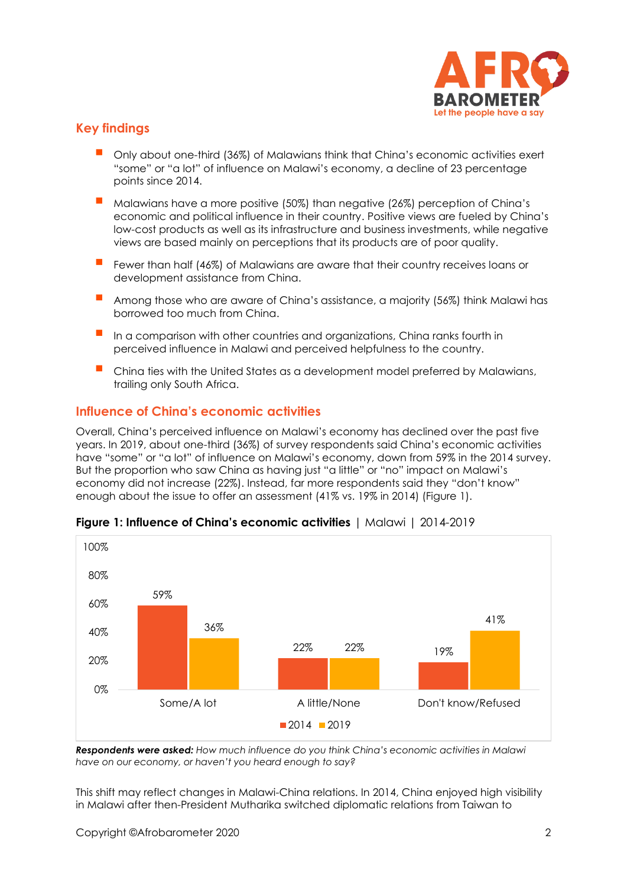

## **Key findings**

- Only about one-third (36%) of Malawians think that China's economic activities exert "some" or "a lot" of influence on Malawi's economy, a decline of 23 percentage points since 2014.
- Malawians have a more positive (50%) than negative (26%) perception of China'<sup>s</sup> economic and political influence in their country. Positive views are fueled by China's low-cost products as well as its infrastructure and business investments, while negative views are based mainly on perceptions that its products are of poor quality.
- Fewer than half (46%) of Malawians are aware that their country receives loans or development assistance from China.
- Among those who are aware of China's assistance, a majority (56%) think Malawi has borrowed too much from China.
- In a comparison with other countries and organizations, China ranks fourth in perceived influence in Malawi and perceived helpfulness to the country.
- China ties with the United States as a development model preferred by Malawians, trailing only South Africa.

## **Influence of China's economic activities**

Overall, China's perceived influence on Malawi's economy has declined over the past five years. In 2019, about one-third (36%) of survey respondents said China's economic activities have "some" or "a lot" of influence on Malawi's economy, down from 59% in the 2014 survey. But the proportion who saw China as having just "a little" or "no" impact on Malawi's economy did not increase (22%). Instead, far more respondents said they "don't know" enough about the issue to offer an assessment (41% vs. 19% in 2014) (Figure 1).



#### **Figure 1: Influence of China's economic activities** | Malawi | 2014-2019

*Respondents were asked: How much influence do you think China's economic activities in Malawi have on our economy, or haven't you heard enough to say?*

This shift may reflect changes in Malawi-China relations. In 2014, China enjoyed high visibility in Malawi after then-President Mutharika switched diplomatic relations from Taiwan to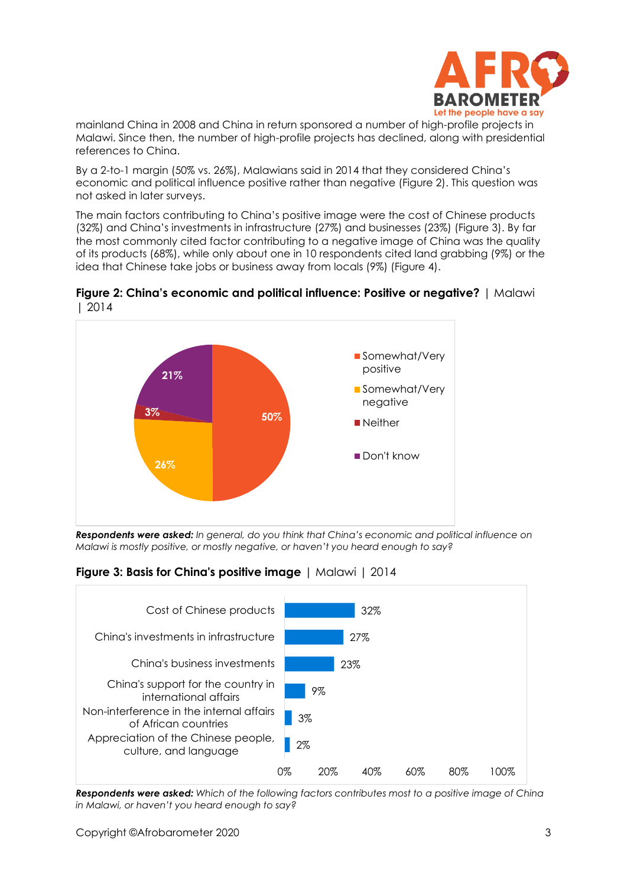

mainland China in 2008 and China in return sponsored a number of high-profile projects in Malawi. Since then, the number of high-profile projects has declined, along with presidential references to China.

By a 2-to-1 margin (50% vs. 26%), Malawians said in 2014 that they considered China's economic and political influence positive rather than negative (Figure 2). This question was not asked in later surveys.

The main factors contributing to China's positive image were the cost of Chinese products (32%) and China's investments in infrastructure (27%) and businesses (23%) (Figure 3). By far the most commonly cited factor contributing to a negative image of China was the quality of its products (68%), while only about one in 10 respondents cited land grabbing (9%) or the idea that Chinese take jobs or business away from locals (9%) (Figure 4).



**Figure 2: China's economic and political influence: Positive or negative?** | Malawi | 2014

**Figure 3: Basis for China's positive image** | Malawi | 2014



*Respondents were asked: Which of the following factors contributes most to a positive image of China in Malawi, or haven't you heard enough to say?*

*Respondents were asked: In general, do you think that China's economic and political influence on Malawi is mostly positive, or mostly negative, or haven't you heard enough to say?*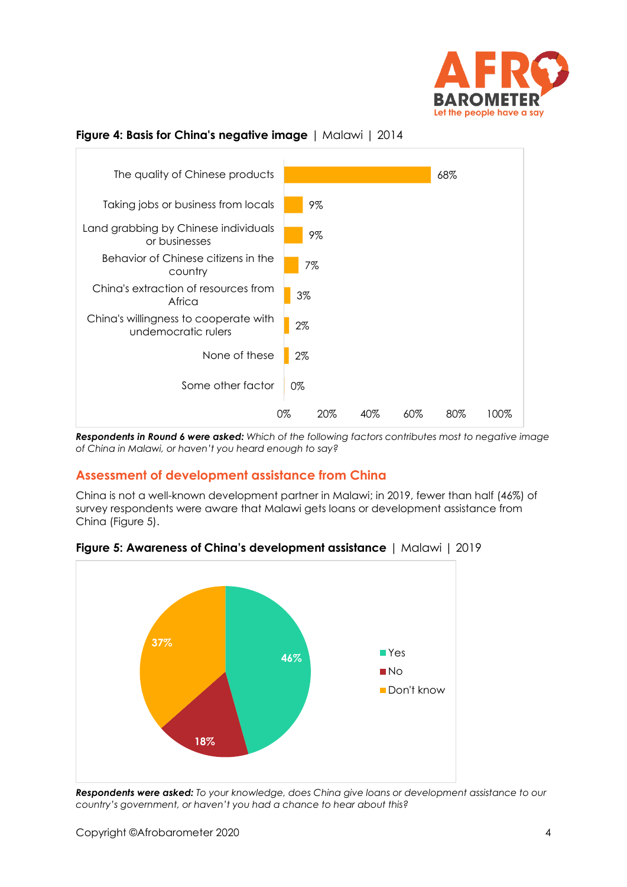

# **Figure 4: Basis for China's negative image** | Malawi | 2014



*Respondents in Round 6 were asked: Which of the following factors contributes most to negative image of China in Malawi, or haven't you heard enough to say?*

## **Assessment of development assistance from China**

China is not a well-known development partner in Malawi; in 2019, fewer than half (46%) of survey respondents were aware that Malawi gets loans or development assistance from China (Figure 5).



**Figure 5: Awareness of China's development assistance** | Malawi | 2019

*Respondents were asked: To your knowledge, does China give loans or development assistance to our country's government, or haven't you had a chance to hear about this?*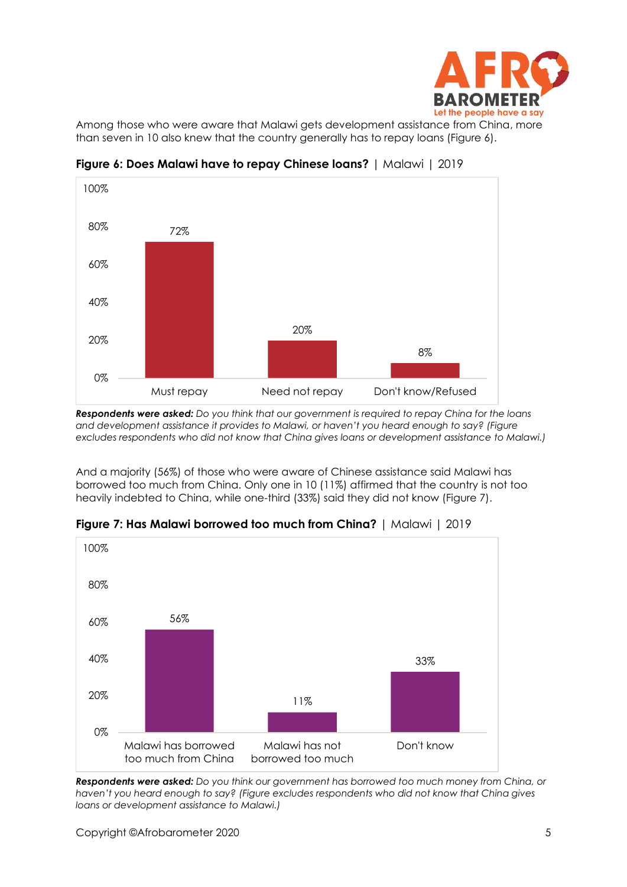

Among those who were aware that Malawi gets development assistance from China, more than seven in 10 also knew that the country generally has to repay loans (Figure 6).



**Figure 6: Does Malawi have to repay Chinese loans?** | Malawi | 2019

*Respondents were asked: Do you think that our government is required to repay China for the loans and development assistance it provides to Malawi, or haven't you heard enough to say? (Figure excludes respondents who did not know that China gives loans or development assistance to Malawi.)*

And a majority (56%) of those who were aware of Chinese assistance said Malawi has borrowed too much from China. Only one in 10 (11%) affirmed that the country is not too heavily indebted to China, while one-third (33%) said they did not know (Figure 7).



**Figure 7: Has Malawi borrowed too much from China?** | Malawi | 2019

*Respondents were asked: Do you think our government has borrowed too much money from China, or haven't you heard enough to say? (Figure excludes respondents who did not know that China gives loans or development assistance to Malawi.)*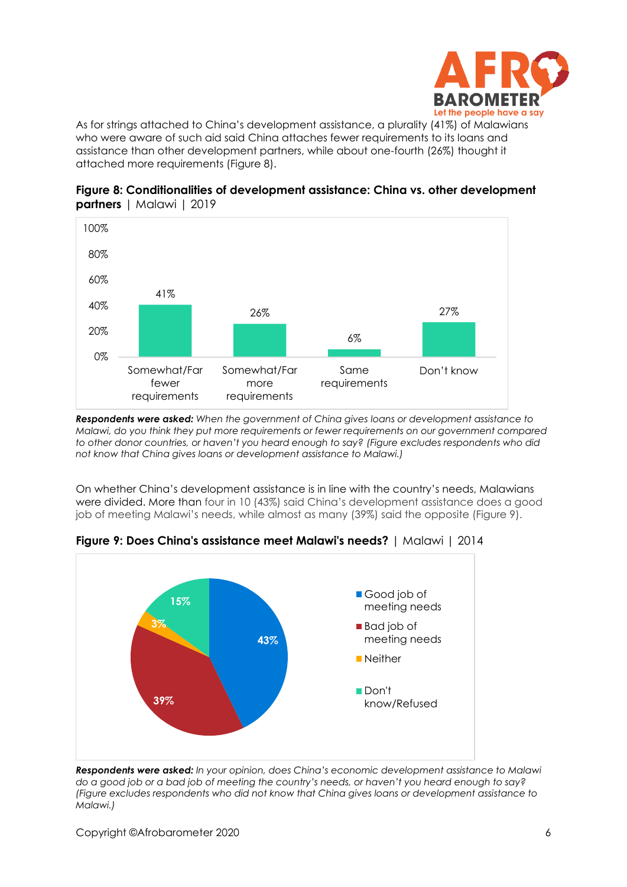

As for strings attached to China's development assistance, a plurality (41%) of Malawians who were aware of such aid said China attaches fewer requirements to its loans and assistance than other development partners, while about one-fourth (26%) thought it attached more requirements (Figure 8).



**Figure 8: Conditionalities of development assistance: China vs. other development partners** | Malawi | 2019

*Respondents were asked: When the government of China gives loans or development assistance to Malawi, do you think they put more requirements or fewer requirements on our government compared to other donor countries, or haven't you heard enough to say? (Figure excludes respondents who did not know that China gives loans or development assistance to Malawi.)*

On whether China's development assistance is in line with the country's needs, Malawians were divided. More than four in 10 (43%) said China's development assistance does a good job of meeting Malawi's needs, while almost as many (39%) said the opposite (Figure 9).



**Figure 9: Does China's assistance meet Malawi's needs?** | Malawi | 2014

*Respondents were asked: In your opinion, does China's economic development assistance to Malawi do a good job or a bad job of meeting the country's needs, or haven't you heard enough to say? (Figure excludes respondents who did not know that China gives loans or development assistance to Malawi.)*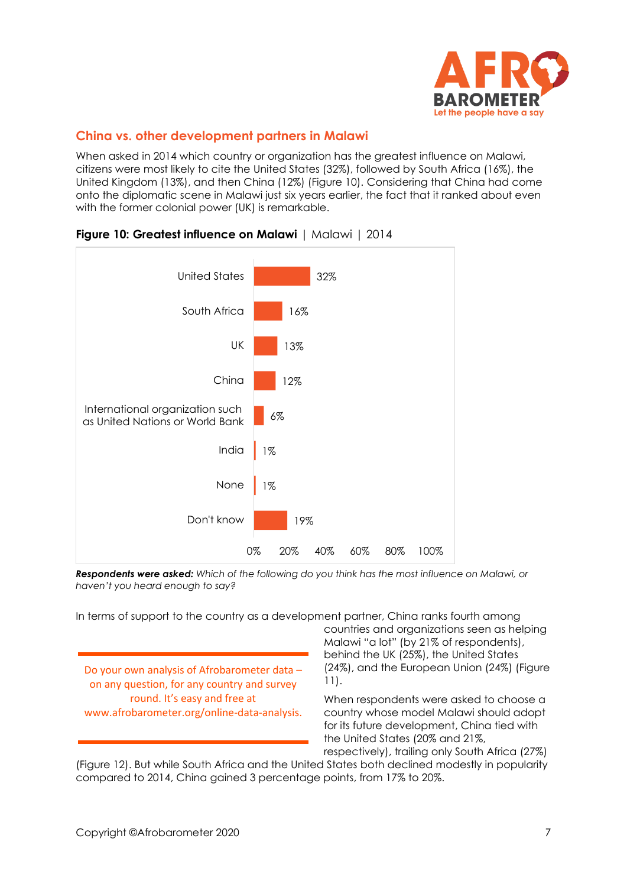

## **China vs. other development partners in Malawi**

When asked in 2014 which country or organization has the greatest influence on Malawi, citizens were most likely to cite the United States (32%), followed by South Africa (16%), the United Kingdom (13%), and then China (12%) (Figure 10). Considering that China had come onto the diplomatic scene in Malawi just six years earlier, the fact that it ranked about even with the former colonial power (UK) is remarkable.



### **Figure 10: Greatest influence on Malawi** | Malawi | 2014

*Respondents were asked: Which of the following do you think has the most influence on Malawi, or haven't you heard enough to say?* 

In terms of support to the country as a development partner, China ranks fourth among

Do your own analysis of Afrobarometer data – on any question, for any country and survey round. It's easy and free at www.afrobarometer.org/online-data-analysis. countries and organizations seen as helping Malawi "a lot" (by 21% of respondents), behind the UK (25%), the United States (24%), and the European Union (24%) (Figure 11).

When respondents were asked to choose a country whose model Malawi should adopt for its future development, China tied with the United States (20% and 21%, respectively), trailing only South Africa (27%)

(Figure 12). But while South Africa and the United States both declined modestly in popularity compared to 2014, China gained 3 percentage points, from 17% to 20%.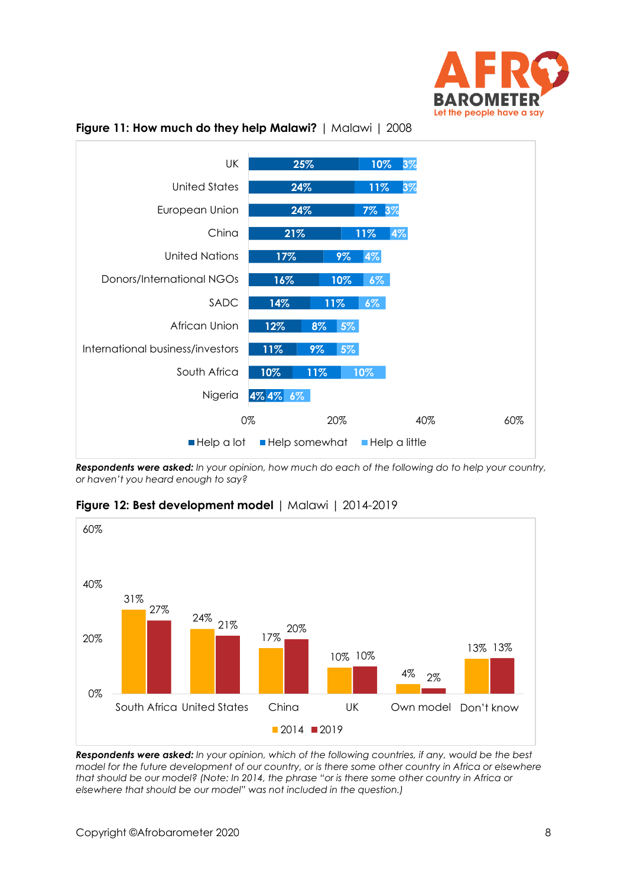



**Figure 11: How much do they help Malawi?** | Malawi | 2008

*Respondents were asked: In your opinion, how much do each of the following do to help your country, or haven't you heard enough to say?*



**Figure 12: Best development model** | Malawi | 2014-2019

*Respondents were asked: In your opinion, which of the following countries, if any, would be the best model for the future development of our country, or is there some other country in Africa or elsewhere that should be our model? (Note: In 2014, the phrase "or is there some other country in Africa or elsewhere that should be our model" was not included in the question.)*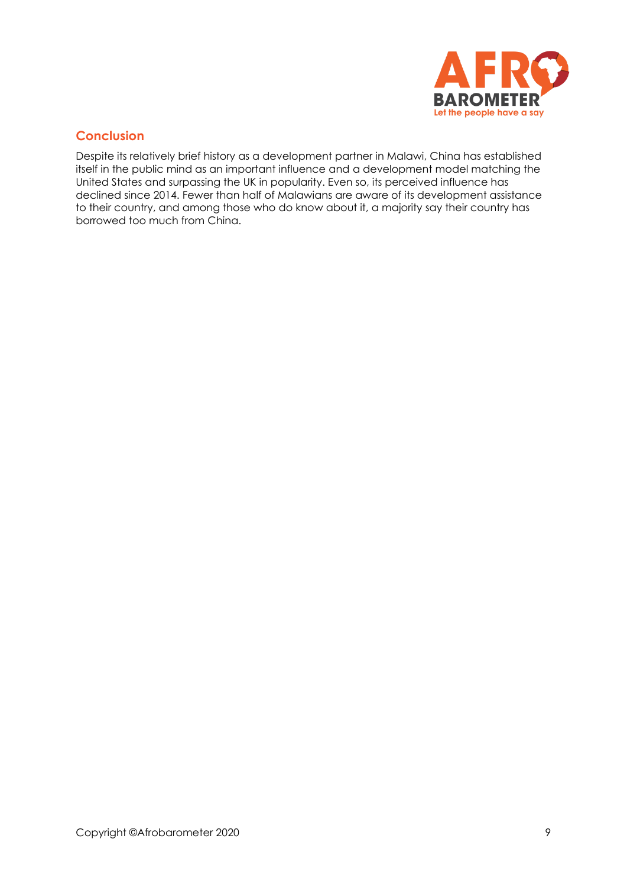

# **Conclusion**

Despite its relatively brief history as a development partner in Malawi, China has established itself in the public mind as an important influence and a development model matching the United States and surpassing the UK in popularity. Even so, its perceived influence has declined since 2014. Fewer than half of Malawians are aware of its development assistance to their country, and among those who do know about it, a majority say their country has borrowed too much from China.